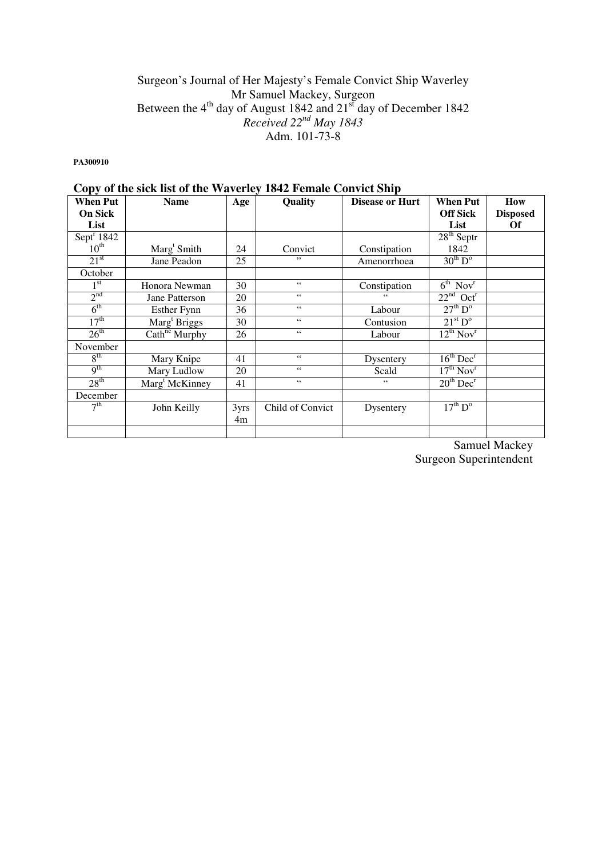## Surgeon's Journal of Her Majesty's Female Convict Ship Waverley Mr Samuel Mackey, Surgeon Between the  $4<sup>th</sup>$  day of August 1842 and  $21<sup>st</sup>$  day of December 1842 *Received 22nd May 1843*  Adm. 101-73-8

**PA300910** 

|                  | Copy of the sick list of the waverley 1842 Felliale Collylet Ship |                  |                  |                        |                                   |                 |
|------------------|-------------------------------------------------------------------|------------------|------------------|------------------------|-----------------------------------|-----------------|
| <b>When Put</b>  | <b>Name</b>                                                       | Age              | <b>Quality</b>   | <b>Disease or Hurt</b> | <b>When Put</b>                   | How             |
| <b>On Sick</b>   |                                                                   |                  |                  |                        | <b>Off Sick</b>                   | <b>Disposed</b> |
| List             |                                                                   |                  |                  |                        | List                              | Of              |
| Sept $1842$      |                                                                   |                  |                  |                        | $28th$ Septr                      |                 |
| $10^{\text{th}}$ | Marg <sup>t</sup> Smith                                           | 24               | Convict          | Constipation           | 1842                              |                 |
| 21 <sup>st</sup> | Jane Peadon                                                       | 25               | , ,              | Amenorrhoea            | $30^{th}$ D <sup>o</sup>          |                 |
| October          |                                                                   |                  |                  |                        |                                   |                 |
| 1 <sup>st</sup>  | Honora Newman                                                     | 30               | $\,$ 6 $\,$      | Constipation           | $6^{\text{th}}$ Nov <sup>r</sup>  |                 |
| 2 <sup>nd</sup>  | Jane Patterson                                                    | 20               | $\zeta$ $\zeta$  | "                      | $22nd$ Oct <sup>r</sup>           |                 |
| $6^{\text{th}}$  | Esther Fynn                                                       | 36               | $\zeta\,\zeta$   | Labour                 | 27 <sup>th</sup> D <sup>o</sup>   |                 |
| 17 <sup>th</sup> | Marg <sup>t</sup> Briggs                                          | 30               | $\zeta$ $\zeta$  | Contusion              | $21^{st}$ D <sup>o</sup>          |                 |
| $26^{\text{th}}$ | $\overline{\text{Cath}}^{\text{ne}}$ Murphy                       | 26               | $66$             | Labour                 | $12^{th}$ Nov <sup>r</sup>        |                 |
| November         |                                                                   |                  |                  |                        |                                   |                 |
| 8 <sup>th</sup>  | Mary Knipe                                                        | 41               | $\zeta\,\zeta$   | Dysentery              | $16^{\text{th}}$ Dec <sup>r</sup> |                 |
| 9 <sup>th</sup>  | Mary Ludlow                                                       | 20               | $\,$ 6 $\,$      | Scald                  | $17^{th}$ Nov <sup>r</sup>        |                 |
| 28 <sup>th</sup> | Marg <sup>t</sup> McKinney                                        | 41               | $\zeta\,\zeta$   | 66                     | $20th$ Dec <sup>r</sup>           |                 |
| December         |                                                                   |                  |                  |                        |                                   |                 |
| 7 <sup>th</sup>  | John Keilly                                                       | 3 <sub>yrs</sub> | Child of Convict | Dysentery              | $17^{\text{th}}$ D <sup>o</sup>   |                 |
|                  |                                                                   | 4m               |                  |                        |                                   |                 |
|                  |                                                                   |                  |                  |                        |                                   |                 |

# **Copy of the sick list of the Waverley 1842 Female Convict Ship**

Samuel Mackey Surgeon Superintendent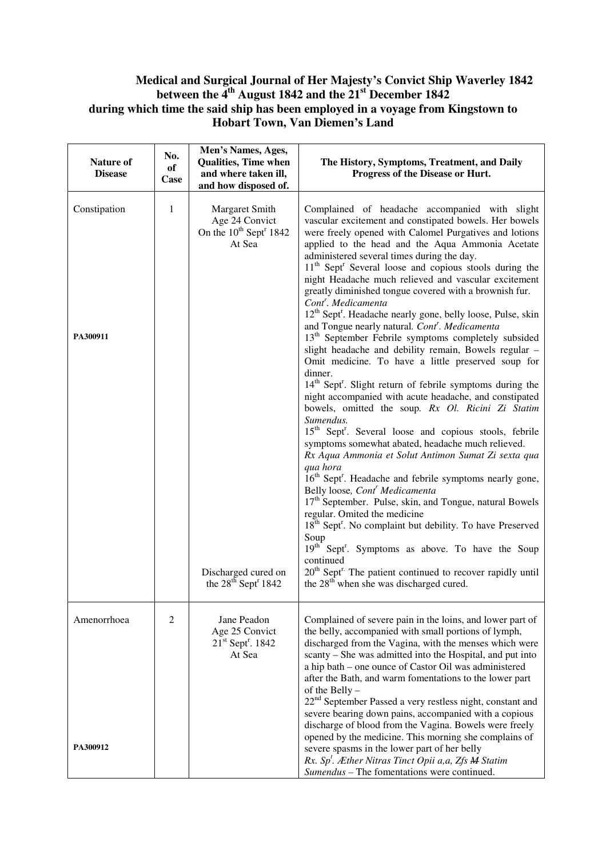### **Medical and Surgical Journal of Her Majesty's Convict Ship Waverley 1842 between the 4th August 1842 and the 21st December 1842 during which time the said ship has been employed in a voyage from Kingstown to Hobart Town, Van Diemen's Land**

| Nature of<br><b>Disease</b> | No.<br>of<br>Case | Men's Names, Ages,<br><b>Qualities, Time when</b><br>and where taken ill,<br>and how disposed of.                                                                  | The History, Symptoms, Treatment, and Daily<br>Progress of the Disease or Hurt.                                                                                                                                                                                                                                                                                                                                                                                                                                                                                                                                                                                                                                                                                                                                                                                                                                                                                                                                                                                                                                                                                                                                                                                                                                                                                                                                                                                                                                                                                                                                                                                                                                                                                                                                                              |
|-----------------------------|-------------------|--------------------------------------------------------------------------------------------------------------------------------------------------------------------|----------------------------------------------------------------------------------------------------------------------------------------------------------------------------------------------------------------------------------------------------------------------------------------------------------------------------------------------------------------------------------------------------------------------------------------------------------------------------------------------------------------------------------------------------------------------------------------------------------------------------------------------------------------------------------------------------------------------------------------------------------------------------------------------------------------------------------------------------------------------------------------------------------------------------------------------------------------------------------------------------------------------------------------------------------------------------------------------------------------------------------------------------------------------------------------------------------------------------------------------------------------------------------------------------------------------------------------------------------------------------------------------------------------------------------------------------------------------------------------------------------------------------------------------------------------------------------------------------------------------------------------------------------------------------------------------------------------------------------------------------------------------------------------------------------------------------------------------|
| Constipation<br>PA300911    | 1                 | Margaret Smith<br>Age 24 Convict<br>On the 10 <sup>th</sup> Sept <sup>r</sup> 1842<br>At Sea<br>Discharged cured on<br>the 28 <sup>th</sup> Sept <sup>r</sup> 1842 | Complained of headache accompanied with slight<br>vascular excitement and constipated bowels. Her bowels<br>were freely opened with Calomel Purgatives and lotions<br>applied to the head and the Aqua Ammonia Acetate<br>administered several times during the day.<br>11 <sup>th</sup> Sept <sup>r</sup> Several loose and copious stools during the<br>night Headache much relieved and vascular excitement<br>greatly diminished tongue covered with a brownish fur.<br>Cont <sup>r</sup> . Medicamenta<br>12 <sup>th</sup> Sept <sup>r</sup> . Headache nearly gone, belly loose, Pulse, skin<br>and Tongue nearly natural. Cont'. Medicamenta<br>13 <sup>th</sup> September Febrile symptoms completely subsided<br>slight headache and debility remain, Bowels regular -<br>Omit medicine. To have a little preserved soup for<br>dinner.<br>14 <sup>th</sup> Sept <sup>r</sup> . Slight return of febrile symptoms during the<br>night accompanied with acute headache, and constipated<br>bowels, omitted the soup. Rx Ol. Ricini Zi Statim<br>Sumendus.<br>15 <sup>th</sup> Sept <sup>r</sup> . Several loose and copious stools, febrile<br>symptoms somewhat abated, headache much relieved.<br>Rx Aqua Ammonia et Solut Antimon Sumat Zi sexta qua<br>qua hora<br>16 <sup>th</sup> Sept <sup>r</sup> . Headache and febrile symptoms nearly gone,<br>Belly loose, Cont <sup>r</sup> Medicamenta<br>17 <sup>th</sup> September. Pulse, skin, and Tongue, natural Bowels<br>regular. Omited the medicine<br>18 <sup>th</sup> Sept <sup>r</sup> . No complaint but debility. To have Preserved<br>Soup<br>19 <sup>th</sup> Sept <sup>r</sup> . Symptoms as above. To have the Soup<br>continued<br>$20th$ Sept <sup>r.</sup> The patient continued to recover rapidly until<br>the 28 <sup>th</sup> when she was discharged cured. |
| Amenorrhoea                 | $\overline{c}$    | Jane Peadon<br>Age 25 Convict<br>$21st$ Sept <sup>r</sup> . 1842<br>At Sea                                                                                         | Complained of severe pain in the loins, and lower part of<br>the belly, accompanied with small portions of lymph,<br>discharged from the Vagina, with the menses which were<br>scanty - She was admitted into the Hospital, and put into<br>a hip bath – one ounce of Castor Oil was administered<br>after the Bath, and warm fomentations to the lower part<br>of the Belly -<br>$22nd$ September Passed a very restless night, constant and<br>severe bearing down pains, accompanied with a copious<br>discharge of blood from the Vagina. Bowels were freely<br>opened by the medicine. This morning she complains of                                                                                                                                                                                                                                                                                                                                                                                                                                                                                                                                                                                                                                                                                                                                                                                                                                                                                                                                                                                                                                                                                                                                                                                                                    |
| PA300912                    |                   |                                                                                                                                                                    | severe spasms in the lower part of her belly<br>Rx. Sp <sup>t</sup> . Æther Nitras Tinct Opii a, a, Zfs <b>M</b> Statim<br>Sumendus - The fomentations were continued.                                                                                                                                                                                                                                                                                                                                                                                                                                                                                                                                                                                                                                                                                                                                                                                                                                                                                                                                                                                                                                                                                                                                                                                                                                                                                                                                                                                                                                                                                                                                                                                                                                                                       |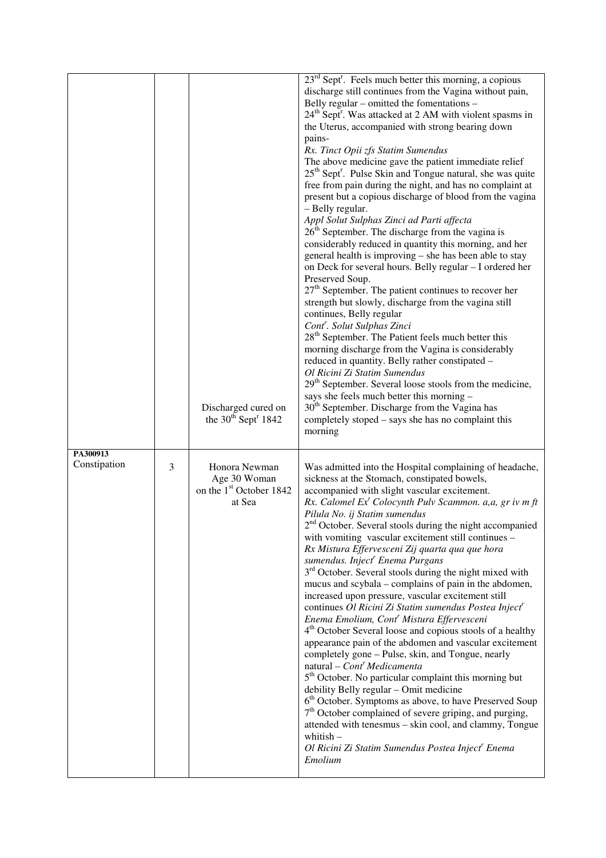|                          |   | Discharged cured on<br>the $30^{th}$ Sept <sup>r</sup> 1842                    | $23rd$ Sept <sup>r</sup> . Feels much better this morning, a copious<br>discharge still continues from the Vagina without pain,<br>Belly regular - omitted the fomentations -<br>24 <sup>th</sup> Sept <sup>r</sup> . Was attacked at 2 AM with violent spasms in<br>the Uterus, accompanied with strong bearing down<br>pains-<br>Rx. Tinct Opii zfs Statim Sumendus<br>The above medicine gave the patient immediate relief<br>$25th$ Sept <sup>r</sup> . Pulse Skin and Tongue natural, she was quite<br>free from pain during the night, and has no complaint at<br>present but a copious discharge of blood from the vagina<br>- Belly regular.<br>Appl Solut Sulphas Zinci ad Parti affecta<br>$26th$ September. The discharge from the vagina is<br>considerably reduced in quantity this morning, and her<br>general health is improving – she has been able to stay<br>on Deck for several hours. Belly regular - I ordered her<br>Preserved Soup.<br>$27th$ September. The patient continues to recover her<br>strength but slowly, discharge from the vagina still<br>continues, Belly regular<br>Cont <sup>r</sup> . Solut Sulphas Zinci<br>28 <sup>th</sup> September. The Patient feels much better this<br>morning discharge from the Vagina is considerably<br>reduced in quantity. Belly rather constipated -<br>Ol Ricini Zi Statim Sumendus<br>29 <sup>th</sup> September. Several loose stools from the medicine,<br>says she feels much better this morning -<br>30 <sup>th</sup> September. Discharge from the Vagina has<br>completely stoped – says she has no complaint this<br>morning |
|--------------------------|---|--------------------------------------------------------------------------------|------------------------------------------------------------------------------------------------------------------------------------------------------------------------------------------------------------------------------------------------------------------------------------------------------------------------------------------------------------------------------------------------------------------------------------------------------------------------------------------------------------------------------------------------------------------------------------------------------------------------------------------------------------------------------------------------------------------------------------------------------------------------------------------------------------------------------------------------------------------------------------------------------------------------------------------------------------------------------------------------------------------------------------------------------------------------------------------------------------------------------------------------------------------------------------------------------------------------------------------------------------------------------------------------------------------------------------------------------------------------------------------------------------------------------------------------------------------------------------------------------------------------------------------------------------------------------------------------------------------|
| PA300913<br>Constipation | 3 | Honora Newman<br>Age 30 Woman<br>on the 1 <sup>st</sup> October 1842<br>at Sea | Was admitted into the Hospital complaining of headache,<br>sickness at the Stomach, constipated bowels,<br>accompanied with slight vascular excitement.<br>Rx. Calomel $Ext$ Colocynth Pulv Scammon. a, a, gr iv m ft<br>Pilula No. ij Statim sumendus<br>$2nd$ October. Several stools during the night accompanied<br>with vomiting vascular excitement still continues -<br>Rx Mistura Effervesceni Zij quarta qua que hora<br>sumendus. Inject <sup>r</sup> Enema Purgans<br>3 <sup>rd</sup> October. Several stools during the night mixed with<br>mucus and scybala – complains of pain in the abdomen,<br>increased upon pressure, vascular excitement still<br>continues Ol Ricini Zi Statim sumendus Postea Inject <sup>r</sup><br>Enema Emolium, Cont <sup>r</sup> Mistura Effervesceni<br>4 <sup>th</sup> October Several loose and copious stools of a healthy<br>appearance pain of the abdomen and vascular excitement<br>completely gone - Pulse, skin, and Tongue, nearly<br>$natural - Contr Medicamenta$<br>5 <sup>th</sup> October. No particular complaint this morning but<br>debility Belly regular - Omit medicine<br>6 <sup>th</sup> October. Symptoms as above, to have Preserved Soup<br>$7th$ October complained of severe griping, and purging,<br>attended with tenesmus - skin cool, and clammy, Tongue<br>whitish $-$<br>Ol Ricini Zi Statim Sumendus Postea Inject <sup>r</sup> Enema<br>Emolium                                                                                                                                                                                 |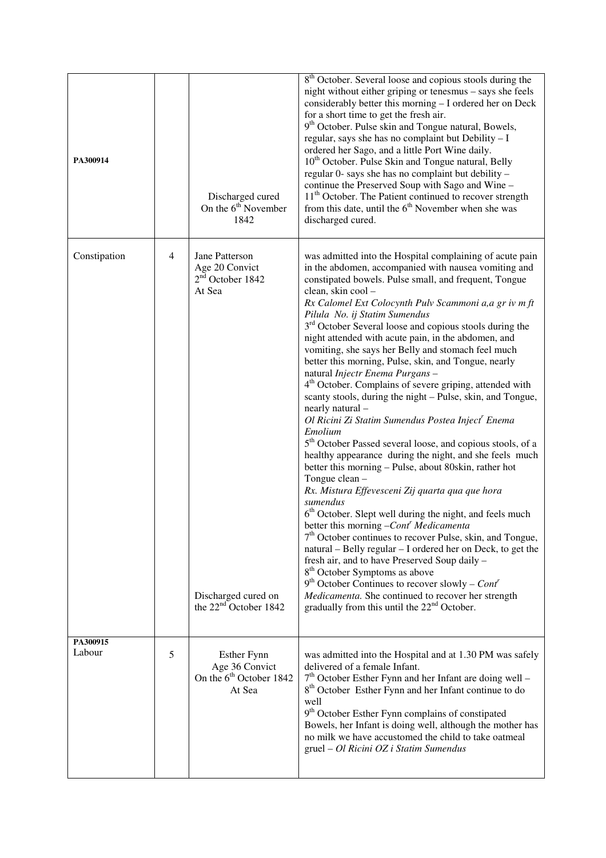| PA300914           |                | Discharged cured<br>On the $6th$ November<br>1842                                                                            | 8 <sup>th</sup> October. Several loose and copious stools during the<br>night without either griping or tenesmus – says she feels<br>considerably better this morning - I ordered her on Deck<br>for a short time to get the fresh air.<br>9 <sup>th</sup> October. Pulse skin and Tongue natural, Bowels,<br>regular, says she has no complaint but Debility - I<br>ordered her Sago, and a little Port Wine daily.<br>10 <sup>th</sup> October. Pulse Skin and Tongue natural, Belly<br>regular 0- says she has no complaint but debility -<br>continue the Preserved Soup with Sago and Wine -<br>11 <sup>th</sup> October. The Patient continued to recover strength<br>from this date, until the $6th$ November when she was<br>discharged cured.                                                                                                                                                                                                                                                                                                                                                                                                                                                                                                                                                                                                                                                                                                                                                                                                                                                                         |
|--------------------|----------------|------------------------------------------------------------------------------------------------------------------------------|--------------------------------------------------------------------------------------------------------------------------------------------------------------------------------------------------------------------------------------------------------------------------------------------------------------------------------------------------------------------------------------------------------------------------------------------------------------------------------------------------------------------------------------------------------------------------------------------------------------------------------------------------------------------------------------------------------------------------------------------------------------------------------------------------------------------------------------------------------------------------------------------------------------------------------------------------------------------------------------------------------------------------------------------------------------------------------------------------------------------------------------------------------------------------------------------------------------------------------------------------------------------------------------------------------------------------------------------------------------------------------------------------------------------------------------------------------------------------------------------------------------------------------------------------------------------------------------------------------------------------------|
| Constipation       | $\overline{4}$ | Jane Patterson<br>Age 20 Convict<br>$2nd$ October 1842<br>At Sea<br>Discharged cured on<br>the 22 <sup>nd</sup> October 1842 | was admitted into the Hospital complaining of acute pain<br>in the abdomen, accompanied with nausea vomiting and<br>constipated bowels. Pulse small, and frequent, Tongue<br>clean, skin cool -<br>Rx Calomel Ext Colocynth Pulv Scammoni a, a gr iv m ft<br>Pilula No. ij Statim Sumendus<br>3 <sup>rd</sup> October Several loose and copious stools during the<br>night attended with acute pain, in the abdomen, and<br>vomiting, she says her Belly and stomach feel much<br>better this morning, Pulse, skin, and Tongue, nearly<br>natural Injectr Enema Purgans -<br>4 <sup>th</sup> October. Complains of severe griping, attended with<br>scanty stools, during the night - Pulse, skin, and Tongue,<br>nearly natural -<br>Ol Ricini Zi Statim Sumendus Postea Inject <sup>r</sup> Enema<br>Emolium<br>5 <sup>th</sup> October Passed several loose, and copious stools, of a<br>healthy appearance during the night, and she feels much<br>better this morning - Pulse, about 80skin, rather hot<br>Tongue clean -<br>Rx. Mistura Effevesceni Zij quarta qua que hora<br>sumendus<br>6 <sup>th</sup> October. Slept well during the night, and feels much<br>better this morning $-Conr Medicamenta$<br>7 <sup>th</sup> October continues to recover Pulse, skin, and Tongue,<br>natural - Belly regular - I ordered her on Deck, to get the<br>fresh air, and to have Preserved Soup daily -<br>8 <sup>th</sup> October Symptoms as above<br>$9th$ October Continues to recover slowly – Cont <sup>r</sup><br>Medicamenta. She continued to recover her strength<br>gradually from this until the $22nd$ October. |
| PA300915<br>Labour | 5              | <b>Esther Fynn</b><br>Age 36 Convict<br>On the 6 <sup>th</sup> October 1842<br>At Sea                                        | was admitted into the Hospital and at 1.30 PM was safely<br>delivered of a female Infant.<br>$7th$ October Esther Fynn and her Infant are doing well –<br>8 <sup>th</sup> October Esther Fynn and her Infant continue to do<br>well<br>9 <sup>th</sup> October Esther Fynn complains of constipated<br>Bowels, her Infant is doing well, although the mother has<br>no milk we have accustomed the child to take oatmeal<br>gruel - Ol Ricini OZ i Statim Sumendus                                                                                                                                                                                                                                                                                                                                                                                                                                                                                                                                                                                                                                                                                                                                                                                                                                                                                                                                                                                                                                                                                                                                                             |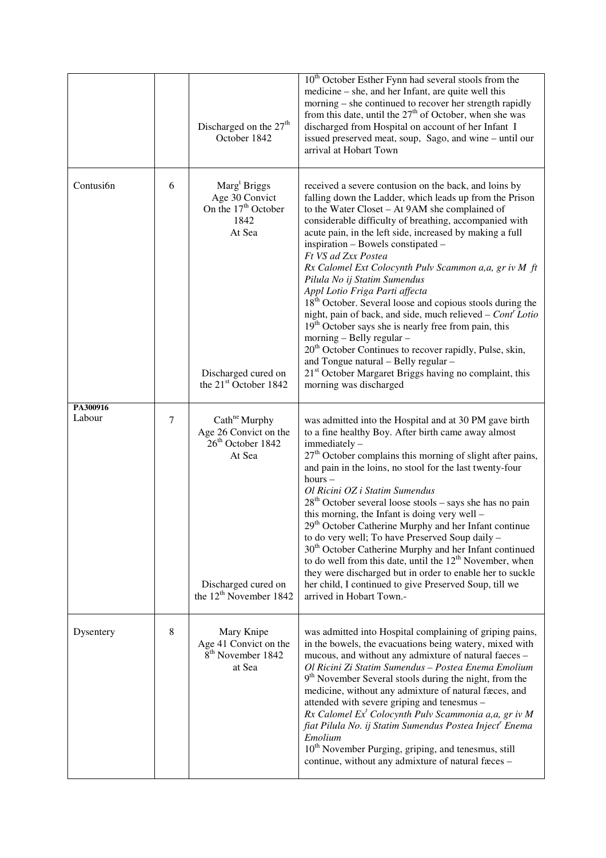|                    |        | Discharged on the 27 <sup>th</sup><br>October 1842                                                                                                          | 10 <sup>th</sup> October Esther Fynn had several stools from the<br>medicine – she, and her Infant, are quite well this<br>morning – she continued to recover her strength rapidly<br>from this date, until the $27th$ of October, when she was<br>discharged from Hospital on account of her Infant I<br>issued preserved meat, soup, Sago, and wine - until our<br>arrival at Hobart Town                                                                                                                                                                                                                                                                                                                                                                                                                                                                                                                                              |
|--------------------|--------|-------------------------------------------------------------------------------------------------------------------------------------------------------------|------------------------------------------------------------------------------------------------------------------------------------------------------------------------------------------------------------------------------------------------------------------------------------------------------------------------------------------------------------------------------------------------------------------------------------------------------------------------------------------------------------------------------------------------------------------------------------------------------------------------------------------------------------------------------------------------------------------------------------------------------------------------------------------------------------------------------------------------------------------------------------------------------------------------------------------|
| Contusi6n          | 6      | Marg <sup>t</sup> Briggs<br>Age 30 Convict<br>On the 17 <sup>th</sup> October<br>1842<br>At Sea<br>Discharged cured on<br>the 21 <sup>st</sup> October 1842 | received a severe contusion on the back, and loins by<br>falling down the Ladder, which leads up from the Prison<br>to the Water Closet - At 9AM she complained of<br>considerable difficulty of breathing, accompanied with<br>acute pain, in the left side, increased by making a full<br>inspiration - Bowels constipated -<br>Ft VS ad Zxx Postea<br>Rx Calomel Ext Colocynth Pulv Scammon a, a, gr iv M ft<br>Pilula No ij Statim Sumendus<br>Appl Lotio Friga Parti affecta<br>18 <sup>th</sup> October. Several loose and copious stools during the<br>night, pain of back, and side, much relieved – Cont' Lotio<br>19 <sup>th</sup> October says she is nearly free from pain, this<br>morning - Belly regular -<br>20 <sup>th</sup> October Continues to recover rapidly, Pulse, skin,<br>and Tongue natural - Belly regular -<br>21 <sup>st</sup> October Margaret Briggs having no complaint, this<br>morning was discharged |
| PA300916<br>Labour | $\tau$ | Cath <sup>ne</sup> Murphy<br>Age 26 Convict on the<br>26 <sup>th</sup> October 1842<br>At Sea<br>Discharged cured on<br>the $12^{th}$ November 1842         | was admitted into the Hospital and at 30 PM gave birth<br>to a fine healthy Boy. After birth came away almost<br>immediately -<br>27 <sup>th</sup> October complains this morning of slight after pains,<br>and pain in the loins, no stool for the last twenty-four<br>$hours -$<br>Ol Ricini OZ i Statim Sumendus<br>$28th$ October several loose stools – says she has no pain<br>this morning, the Infant is doing very well –<br>29 <sup>th</sup> October Catherine Murphy and her Infant continue<br>to do very well; To have Preserved Soup daily -<br>30 <sup>th</sup> October Catherine Murphy and her Infant continued<br>to do well from this date, until the 12 <sup>th</sup> November, when<br>they were discharged but in order to enable her to suckle<br>her child, I continued to give Preserved Soup, till we<br>arrived in Hobart Town.-                                                                              |
| Dysentery          | 8      | Mary Knipe<br>Age 41 Convict on the<br>8 <sup>th</sup> November 1842<br>at Sea                                                                              | was admitted into Hospital complaining of griping pains,<br>in the bowels, the evacuations being watery, mixed with<br>mucous, and without any admixture of natural faeces -<br>Ol Ricini Zi Statim Sumendus - Postea Enema Emolium<br>9 <sup>th</sup> November Several stools during the night, from the<br>medicine, without any admixture of natural fæces, and<br>attended with severe griping and tenesmus -<br>$Rx$ Calomel $Ext$ Colocynth Pulv Scammonia a, a, gr iv M<br>fiat Pilula No. ij Statim Sumendus Postea Inject <sup>r</sup> Enema<br>Emolium<br>10 <sup>th</sup> November Purging, griping, and tenesmus, still<br>continue, without any admixture of natural faces -                                                                                                                                                                                                                                                |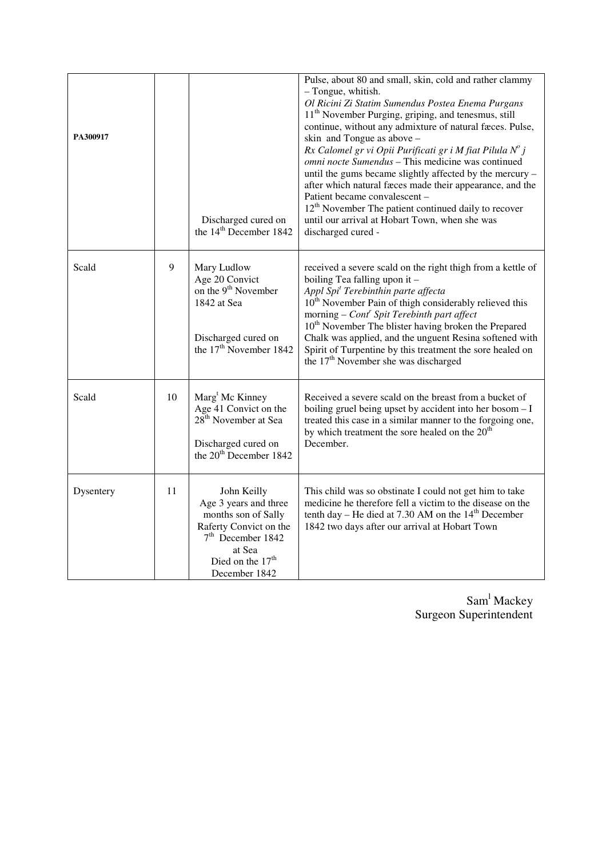| PA300917  |    | Discharged cured on<br>the 14 <sup>th</sup> December 1842                                                                                                     | Pulse, about 80 and small, skin, cold and rather clammy<br>- Tongue, whitish.<br>Ol Ricini Zi Statim Sumendus Postea Enema Purgans<br>11 <sup>th</sup> November Purging, griping, and tenesmus, still<br>continue, without any admixture of natural fæces. Pulse,<br>skin and Tongue as above -<br>Rx Calomel gr vi Opii Purificati gr i M fiat Pilula $N^o$ j<br>omni nocte Sumendus - This medicine was continued<br>until the gums became slightly affected by the mercury -<br>after which natural fæces made their appearance, and the<br>Patient became convalescent -<br>$12th$ November The patient continued daily to recover<br>until our arrival at Hobart Town, when she was<br>discharged cured - |
|-----------|----|---------------------------------------------------------------------------------------------------------------------------------------------------------------|----------------------------------------------------------------------------------------------------------------------------------------------------------------------------------------------------------------------------------------------------------------------------------------------------------------------------------------------------------------------------------------------------------------------------------------------------------------------------------------------------------------------------------------------------------------------------------------------------------------------------------------------------------------------------------------------------------------|
| Scald     | 9  | Mary Ludlow<br>Age 20 Convict<br>on the 9 <sup>th</sup> November<br>1842 at Sea<br>Discharged cured on<br>the 17 <sup>th</sup> November 1842                  | received a severe scald on the right thigh from a kettle of<br>boiling Tea falling upon it -<br>Appl Spi <sup>t</sup> Terebinthin parte affecta<br>$10th$ November Pain of thigh considerably relieved this<br>morning – $Contr$ Spit Terebinth part affect<br>10 <sup>th</sup> November The blister having broken the Prepared<br>Chalk was applied, and the unguent Resina softened with<br>Spirit of Turpentine by this treatment the sore healed on<br>the 17 <sup>th</sup> November she was discharged                                                                                                                                                                                                    |
| Scald     | 10 | Marg <sup>t</sup> Mc Kinney<br>Age 41 Convict on the<br>28 <sup>th</sup> November at Sea<br>Discharged cured on<br>the 20 <sup>th</sup> December 1842         | Received a severe scald on the breast from a bucket of<br>boiling gruel being upset by accident into her bosom - I<br>treated this case in a similar manner to the forgoing one,<br>by which treatment the sore healed on the $20th$<br>December.                                                                                                                                                                                                                                                                                                                                                                                                                                                              |
| Dysentery | 11 | John Keilly<br>Age 3 years and three<br>months son of Sally<br>Raferty Convict on the<br>$7th$ December 1842<br>at Sea<br>Died on the $17th$<br>December 1842 | This child was so obstinate I could not get him to take<br>medicine he therefore fell a victim to the disease on the<br>tenth day – He died at 7.30 AM on the $14th$ December<br>1842 two days after our arrival at Hobart Town                                                                                                                                                                                                                                                                                                                                                                                                                                                                                |

Sam<sup>l</sup> Mackey Surgeon Superintendent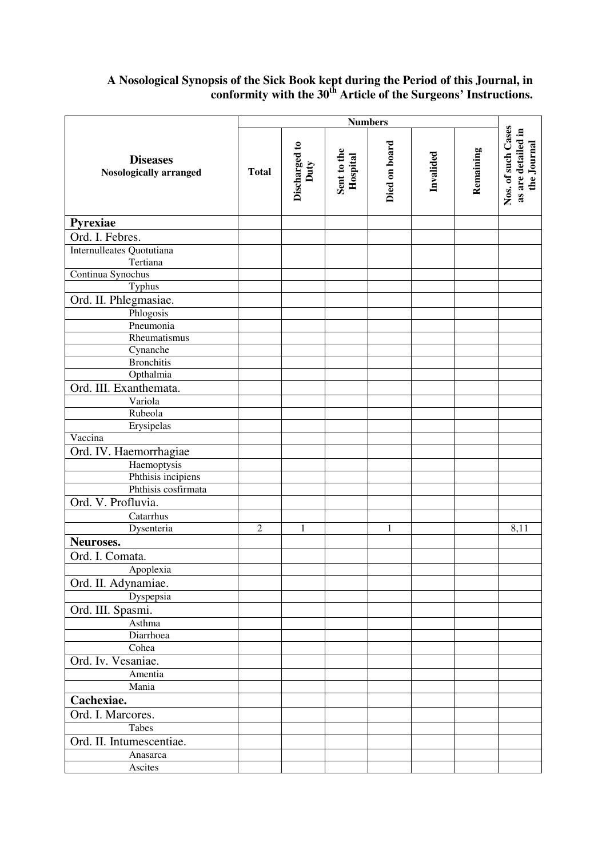### **A Nosological Synopsis of the Sick Book kept during the Period of this Journal, in conformity with the 30th Article of the Surgeons' Instructions.**

|                                                  | <b>Numbers</b> |                       |                         |               |           |           |                                                         |
|--------------------------------------------------|----------------|-----------------------|-------------------------|---------------|-----------|-----------|---------------------------------------------------------|
| <b>Diseases</b><br><b>Nosologically arranged</b> | <b>Total</b>   | Discharged to<br>Duty | Sent to the<br>Hospital | Died on board | Invalided | Remaining | Nos. of such Cases<br>as are detailed in<br>the Journal |
| Pyrexiae                                         |                |                       |                         |               |           |           |                                                         |
| Ord. I. Febres.                                  |                |                       |                         |               |           |           |                                                         |
| Internulleates Quotutiana<br>Tertiana            |                |                       |                         |               |           |           |                                                         |
| Continua Synochus                                |                |                       |                         |               |           |           |                                                         |
| Typhus                                           |                |                       |                         |               |           |           |                                                         |
| Ord. II. Phlegmasiae.                            |                |                       |                         |               |           |           |                                                         |
| Phlogosis                                        |                |                       |                         |               |           |           |                                                         |
| Pneumonia                                        |                |                       |                         |               |           |           |                                                         |
| Rheumatismus                                     |                |                       |                         |               |           |           |                                                         |
| Cynanche                                         |                |                       |                         |               |           |           |                                                         |
| <b>Bronchitis</b>                                |                |                       |                         |               |           |           |                                                         |
| Opthalmia                                        |                |                       |                         |               |           |           |                                                         |
| Ord. III. Exanthemata.                           |                |                       |                         |               |           |           |                                                         |
| Variola                                          |                |                       |                         |               |           |           |                                                         |
| Rubeola                                          |                |                       |                         |               |           |           |                                                         |
| Erysipelas                                       |                |                       |                         |               |           |           |                                                         |
| Vaccina                                          |                |                       |                         |               |           |           |                                                         |
| Ord. IV. Haemorrhagiae                           |                |                       |                         |               |           |           |                                                         |
| Haemoptysis                                      |                |                       |                         |               |           |           |                                                         |
| Phthisis incipiens                               |                |                       |                         |               |           |           |                                                         |
| Phthisis cosfirmata                              |                |                       |                         |               |           |           |                                                         |
| Ord. V. Profluvia.                               |                |                       |                         |               |           |           |                                                         |
| Catarrhus                                        |                |                       |                         |               |           |           |                                                         |
| Dysenteria                                       | $\sqrt{2}$     | $\mathbf{1}$          |                         | $\mathbf{1}$  |           |           | 8,11                                                    |
| Neuroses.                                        |                |                       |                         |               |           |           |                                                         |
| Ord. I. Comata.                                  |                |                       |                         |               |           |           |                                                         |
| Apoplexia                                        |                |                       |                         |               |           |           |                                                         |
| Ord. II. Adynamiae.                              |                |                       |                         |               |           |           |                                                         |
| Dyspepsia                                        |                |                       |                         |               |           |           |                                                         |
| Ord. III. Spasmi.                                |                |                       |                         |               |           |           |                                                         |
| Asthma                                           |                |                       |                         |               |           |           |                                                         |
| Diarrhoea                                        |                |                       |                         |               |           |           |                                                         |
| Cohea                                            |                |                       |                         |               |           |           |                                                         |
| Ord. Iv. Vesaniae.                               |                |                       |                         |               |           |           |                                                         |
| Amentia                                          |                |                       |                         |               |           |           |                                                         |
| Mania                                            |                |                       |                         |               |           |           |                                                         |
| Cachexiae.                                       |                |                       |                         |               |           |           |                                                         |
| Ord. I. Marcores.                                |                |                       |                         |               |           |           |                                                         |
| Tabes                                            |                |                       |                         |               |           |           |                                                         |
| Ord. II. Intumescentiae.                         |                |                       |                         |               |           |           |                                                         |
| Anasarca                                         |                |                       |                         |               |           |           |                                                         |
| Ascites                                          |                |                       |                         |               |           |           |                                                         |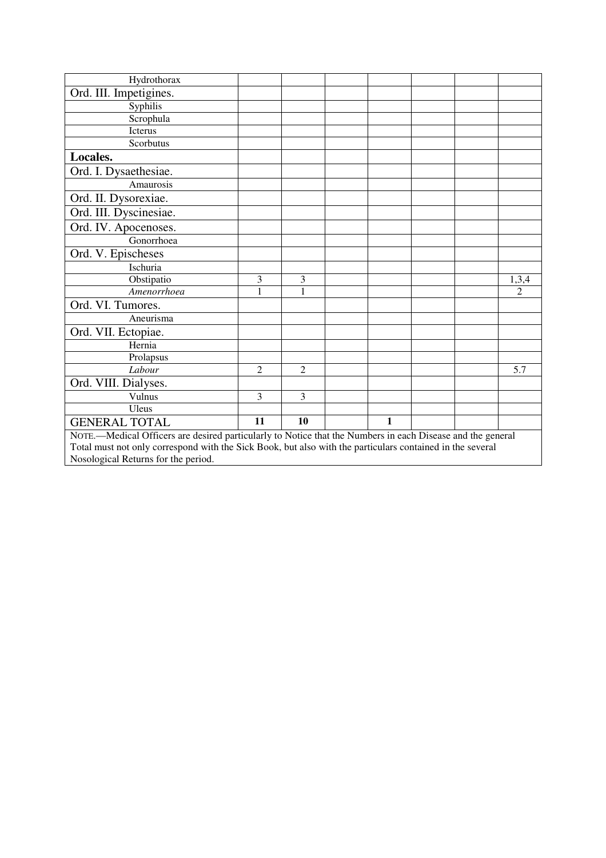| Hydrothorax                                                                                                |               |                |  |              |  |  |                |  |
|------------------------------------------------------------------------------------------------------------|---------------|----------------|--|--------------|--|--|----------------|--|
| Ord. III. Impetigines.                                                                                     |               |                |  |              |  |  |                |  |
| Syphilis                                                                                                   |               |                |  |              |  |  |                |  |
| Scrophula                                                                                                  |               |                |  |              |  |  |                |  |
| Icterus                                                                                                    |               |                |  |              |  |  |                |  |
| Scorbutus                                                                                                  |               |                |  |              |  |  |                |  |
| Locales.                                                                                                   |               |                |  |              |  |  |                |  |
| Ord. I. Dysaethesiae.                                                                                      |               |                |  |              |  |  |                |  |
| Amaurosis                                                                                                  |               |                |  |              |  |  |                |  |
| Ord. II. Dysorexiae.                                                                                       |               |                |  |              |  |  |                |  |
| Ord. III. Dyscinesiae.                                                                                     |               |                |  |              |  |  |                |  |
| Ord. IV. Apocenoses.                                                                                       |               |                |  |              |  |  |                |  |
| Gonorrhoea                                                                                                 |               |                |  |              |  |  |                |  |
| Ord. V. Epischeses                                                                                         |               |                |  |              |  |  |                |  |
| Ischuria                                                                                                   |               |                |  |              |  |  |                |  |
| Obstipatio                                                                                                 | 3             | 3              |  |              |  |  | 1,3,4          |  |
| $\overline{A}$ menorrhoea                                                                                  | 1             | 1              |  |              |  |  | $\overline{2}$ |  |
| Ord. VI. Tumores.                                                                                          |               |                |  |              |  |  |                |  |
| Aneurisma                                                                                                  |               |                |  |              |  |  |                |  |
| Ord. VII. Ectopiae.                                                                                        |               |                |  |              |  |  |                |  |
| Hernia                                                                                                     |               |                |  |              |  |  |                |  |
| Prolapsus                                                                                                  |               |                |  |              |  |  |                |  |
| Labour                                                                                                     | $\mathcal{L}$ | $\mathfrak{D}$ |  |              |  |  | 5.7            |  |
| Ord. VIII. Dialyses.                                                                                       |               |                |  |              |  |  |                |  |
| Vulnus                                                                                                     | 3             | 3              |  |              |  |  |                |  |
| Uleus                                                                                                      |               |                |  |              |  |  |                |  |
| <b>GENERAL TOTAL</b>                                                                                       | 11            | 10             |  | $\mathbf{1}$ |  |  |                |  |
| NOTE.—Medical Officers are desired particularly to Notice that the Numbers in each Disease and the general |               |                |  |              |  |  |                |  |
| Total must not only correspond with the Sick Book, but also with the particulars contained in the several  |               |                |  |              |  |  |                |  |
| Nosological Returns for the period.                                                                        |               |                |  |              |  |  |                |  |